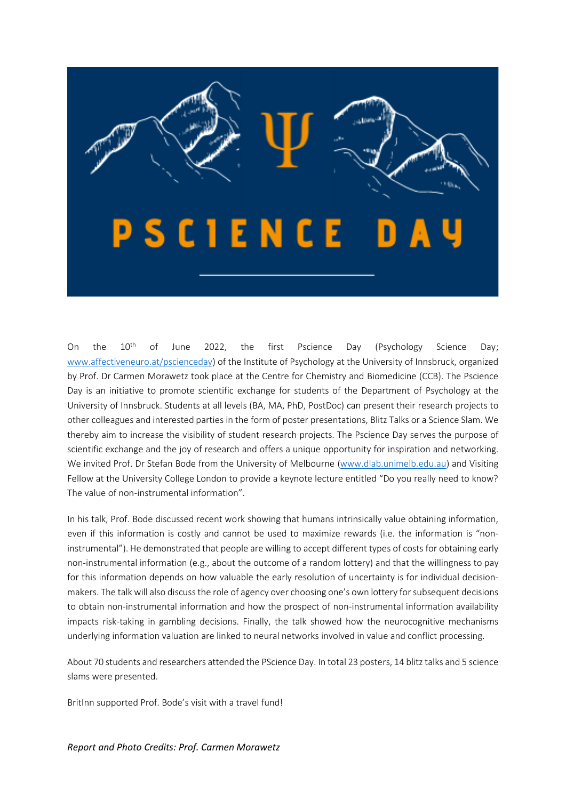

On the 10<sup>th</sup> of June 2022, the first Pscience Day (Psychology Science Day; [www.affectiveneuro.at/pscienceday\)](http://www.affectiveneuro.at/pscienceday) of the Institute of Psychology at the University of Innsbruck, organized by Prof. Dr Carmen Morawetz took place at the Centre for Chemistry and Biomedicine (CCB). The Pscience Day is an initiative to promote scientific exchange for students of the Department of Psychology at the University of Innsbruck. Students at all levels (BA, MA, PhD, PostDoc) can present their research projects to other colleagues and interested parties in the form of poster presentations, Blitz Talks or a Science Slam. We thereby aim to increase the visibility of student research projects. The Pscience Day serves the purpose of scientific exchange and the joy of research and offers a unique opportunity for inspiration and networking. We invited Prof. Dr Stefan Bode from the University of Melbourne [\(www.dlab.unimelb.edu.au\)](http://www.dlab.unimelb.edu.au/) and Visiting Fellow at the University College London to provide a keynote lecture entitled "Do you really need to know? The value of non-instrumental information".

In his talk, Prof. Bode discussed recent work showing that humans intrinsically value obtaining information, even if this information is costly and cannot be used to maximize rewards (i.e. the information is "noninstrumental"). He demonstrated that people are willing to accept different types of costs for obtaining early non-instrumental information (e.g., about the outcome of a random lottery) and that the willingness to pay for this information depends on how valuable the early resolution of uncertainty is for individual decisionmakers. The talk will also discuss the role of agency over choosing one's own lottery for subsequent decisions to obtain non-instrumental information and how the prospect of non-instrumental information availability impacts risk-taking in gambling decisions. Finally, the talk showed how the neurocognitive mechanisms underlying information valuation are linked to neural networks involved in value and conflict processing.

About 70 students and researchers attended the PScience Day. In total 23 posters, 14 blitz talks and 5 science slams were presented.

BritInn supported Prof. Bode's visit with a travel fund!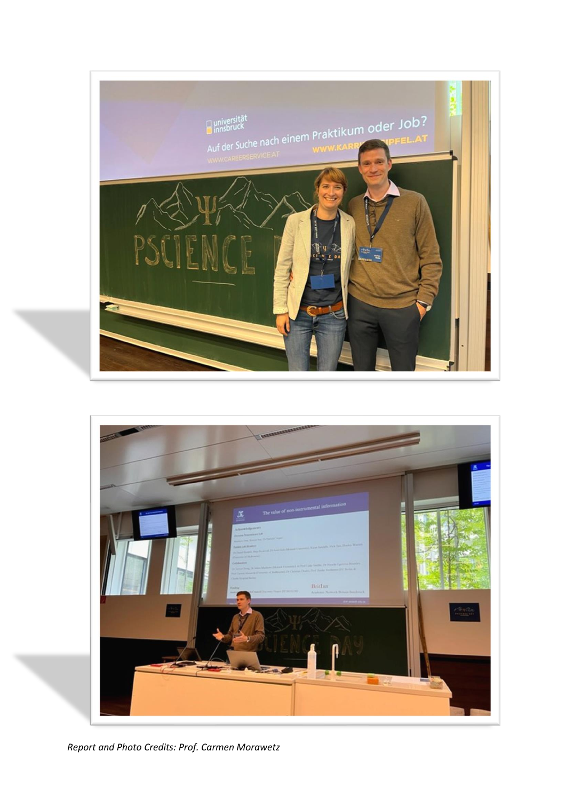



*Report and Photo Credits: Prof. Carmen Morawetz*